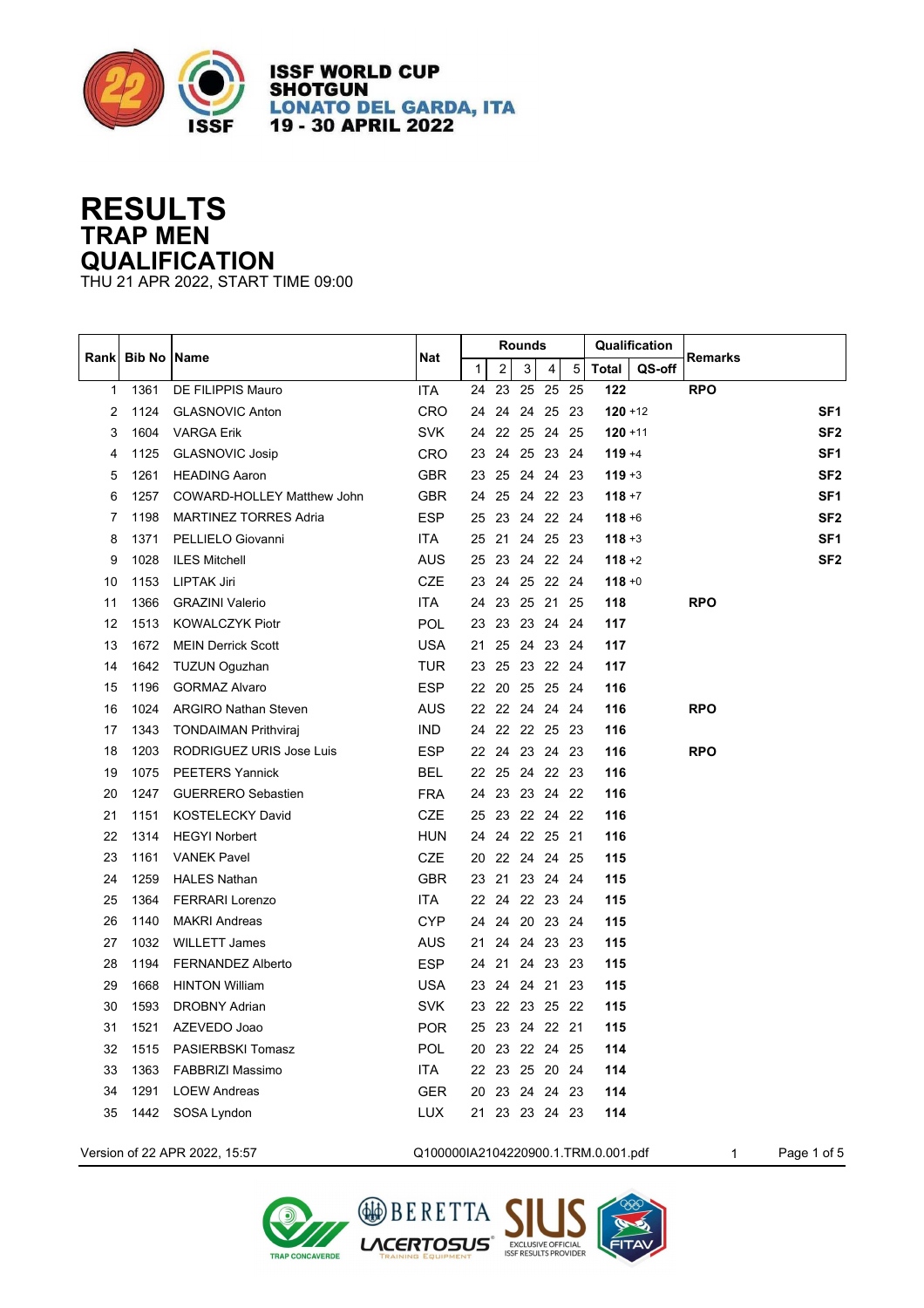

**ISSF WORLD CUP SHOTGUN LONATO DEL GARDA, ITA** 19 - 30 APRIL 2022

## **RESULTS TRAP MEN QUALIFICATION**

THU 21 APR 2022, START TIME 09:00

|                |                      |                              |            |              |                | <b>Rounds</b>  |                |    |              | Qualification |                 |
|----------------|----------------------|------------------------------|------------|--------------|----------------|----------------|----------------|----|--------------|---------------|-----------------|
| Rankl          | <b>Bib No   Name</b> |                              | Nat        | $\mathbf{1}$ | $\overline{2}$ | 3 <sup>1</sup> | 4 <sup>1</sup> | 5  | <b>Total</b> | QS-off        | Remarks         |
| 1              | 1361                 | DE FILIPPIS Mauro            | <b>ITA</b> | 24           | 23             |                | 25 25          | 25 | 122          |               | <b>RPO</b>      |
| $\overline{2}$ | 1124                 | <b>GLASNOVIC Anton</b>       | CRO        |              |                |                | 24 24 24 25 23 |    | $120 + 12$   |               | SF <sub>1</sub> |
| 3              | 1604                 | <b>VARGA Erik</b>            | <b>SVK</b> | 24           |                |                | 22 25 24 25    |    | $120 + 11$   |               | SF <sub>2</sub> |
| 4              | 1125                 | <b>GLASNOVIC Josip</b>       | <b>CRO</b> | 23           |                |                | 24 25 23 24    |    | $119 + 4$    |               | SF <sub>1</sub> |
| 5              | 1261                 | <b>HEADING Aaron</b>         | <b>GBR</b> | 23           |                |                | 25 24 24 23    |    | $119 + 3$    |               | SF <sub>2</sub> |
| 6              | 1257                 | COWARD-HOLLEY Matthew John   | <b>GBR</b> | 24           |                |                | 25 24 22 23    |    | $118 + 7$    |               | SF <sub>1</sub> |
| 7              | 1198                 | <b>MARTINEZ TORRES Adria</b> | <b>ESP</b> |              |                |                | 25 23 24 22 24 |    | $118 + 6$    |               | SF <sub>2</sub> |
| 8              | 1371                 | PELLIELO Giovanni            | <b>ITA</b> | 25           |                |                | 21 24 25 23    |    | $118 + 3$    |               | SF <sub>1</sub> |
| 9              | 1028                 | <b>ILES Mitchell</b>         | <b>AUS</b> |              |                |                | 25 23 24 22 24 |    | $118 + 2$    |               | SF <sub>2</sub> |
| 10             | 1153                 | <b>LIPTAK Jiri</b>           | <b>CZE</b> |              |                |                | 23 24 25 22 24 |    | $118 + 0$    |               |                 |
| 11             | 1366                 | <b>GRAZINI Valerio</b>       | <b>ITA</b> |              |                |                | 24 23 25 21 25 |    | 118          |               | <b>RPO</b>      |
| 12             | 1513                 | <b>KOWALCZYK Piotr</b>       | POL        |              |                |                | 23 23 23 24 24 |    | 117          |               |                 |
| 13             | 1672                 | <b>MEIN Derrick Scott</b>    | <b>USA</b> | 21           |                |                | 25 24 23 24    |    | 117          |               |                 |
| 14             | 1642                 | TUZUN Oguzhan                | <b>TUR</b> |              |                |                | 23 25 23 22 24 |    | 117          |               |                 |
| 15             | 1196                 | <b>GORMAZ Alvaro</b>         | <b>ESP</b> |              |                |                | 22 20 25 25 24 |    | 116          |               |                 |
| 16             | 1024                 | <b>ARGIRO Nathan Steven</b>  | <b>AUS</b> |              |                |                | 22 22 24 24 24 |    | 116          |               | <b>RPO</b>      |
| 17             | 1343                 | <b>TONDAIMAN Prithviraj</b>  | <b>IND</b> |              |                |                | 24 22 22 25 23 |    | 116          |               |                 |
| 18             | 1203                 | RODRIGUEZ URIS Jose Luis     | <b>ESP</b> |              |                |                | 22 24 23 24 23 |    | 116          |               | <b>RPO</b>      |
| 19             | 1075                 | <b>PEETERS Yannick</b>       | <b>BEL</b> |              |                |                | 22 25 24 22 23 |    | 116          |               |                 |
| 20             | 1247                 | <b>GUERRERO Sebastien</b>    | <b>FRA</b> | 24           |                |                | 23 23 24 22    |    | 116          |               |                 |
| 21             | 1151                 | <b>KOSTELECKY David</b>      | CZE        | 25           |                |                | 23 22 24 22    |    | 116          |               |                 |
| 22             | 1314                 | <b>HEGYI Norbert</b>         | <b>HUN</b> | 24           |                |                | 24 22 25 21    |    | 116          |               |                 |
| 23             | 1161                 | <b>VANEK Pavel</b>           | CZE        | 20           |                |                | 22 24 24 25    |    | 115          |               |                 |
| 24             | 1259                 | <b>HALES Nathan</b>          | <b>GBR</b> | 23           |                |                | 21 23 24 24    |    | 115          |               |                 |
| 25             | 1364                 | <b>FERRARI Lorenzo</b>       | <b>ITA</b> | 22           |                |                | 24 22 23 24    |    | 115          |               |                 |
| 26             | 1140                 | <b>MAKRI Andreas</b>         | <b>CYP</b> | 24           |                |                | 24 20 23 24    |    | 115          |               |                 |
| 27             | 1032                 | <b>WILLETT James</b>         | AUS        | 21           |                |                | 24 24 23 23    |    | 115          |               |                 |
| 28             | 1194                 | <b>FERNANDEZ Alberto</b>     | <b>ESP</b> | 24           |                |                | 21 24 23 23    |    | 115          |               |                 |
| 29             | 1668                 | <b>HINTON William</b>        | <b>USA</b> | 23           |                |                | 24 24 21 23    |    | 115          |               |                 |
| 30             | 1593                 | <b>DROBNY Adrian</b>         | <b>SVK</b> |              |                |                | 23 22 23 25 22 |    | 115          |               |                 |
| 31             | 1521                 | AZEVEDO Joao                 | <b>POR</b> |              |                |                | 25 23 24 22 21 |    | 115          |               |                 |
| 32             | 1515                 | PASIERBSKI Tomasz            | <b>POL</b> |              |                |                | 20 23 22 24 25 |    | 114          |               |                 |
| 33             | 1363                 | FABBRIZI Massimo             | ITA.       |              |                |                | 22 23 25 20 24 |    | 114          |               |                 |
| 34             | 1291                 | <b>LOEW Andreas</b>          | <b>GER</b> | 20           |                |                | 23 24 24 23    |    | 114          |               |                 |
| 35             | 1442                 | SOSA Lyndon                  | <b>LUX</b> | 21           |                |                | 23 23 24 23    |    | 114          |               |                 |
|                |                      |                              |            |              |                |                |                |    |              |               |                 |





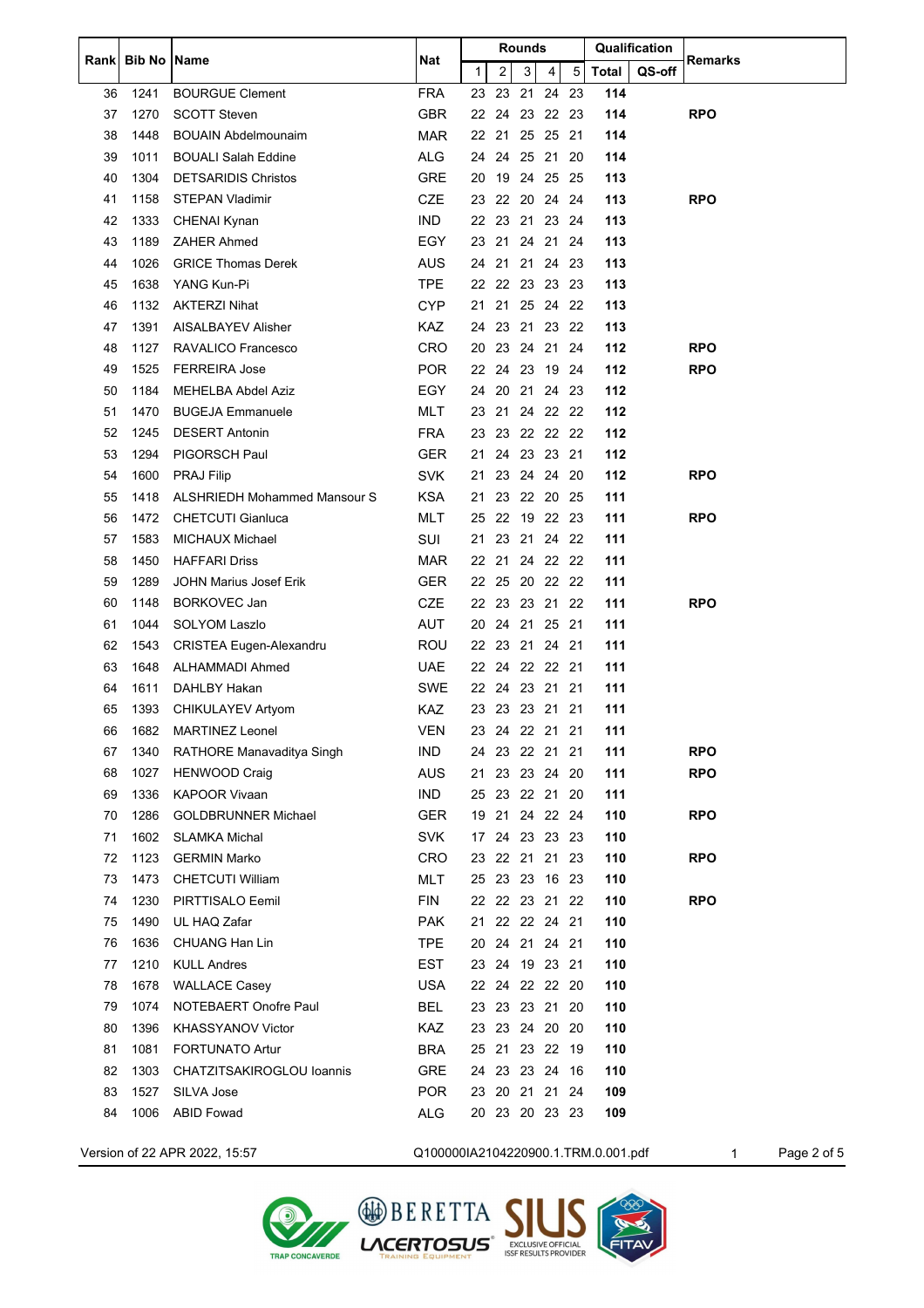| Rankl | <b>Bib No   Name</b> |                                     | <b>Rounds</b><br><b>Nat</b>         |              | Qualification  |   | Remarks     |     |       |        |            |             |
|-------|----------------------|-------------------------------------|-------------------------------------|--------------|----------------|---|-------------|-----|-------|--------|------------|-------------|
|       |                      |                                     |                                     | $\mathbf{1}$ | 2              | 3 | 4           | 5   | Total | QS-off |            |             |
| 36    | 1241                 | <b>BOURGUE Clement</b>              | <b>FRA</b>                          | 23           | 23             |   | 21 24       | -23 | 114   |        |            |             |
| 37    | 1270                 | <b>SCOTT Steven</b>                 | <b>GBR</b>                          |              | 22 24 23 22 23 |   |             |     | 114   |        | <b>RPO</b> |             |
| 38    | 1448                 | <b>BOUAIN Abdelmounaim</b>          | <b>MAR</b>                          |              | 22 21 25 25 21 |   |             |     | 114   |        |            |             |
| 39    | 1011                 | <b>BOUALI Salah Eddine</b>          | <b>ALG</b>                          | 24           |                |   | 24 25 21    | -20 | 114   |        |            |             |
| 40    | 1304                 | <b>DETSARIDIS Christos</b>          | <b>GRE</b>                          | 20           | 19             |   | 24 25 25    |     | 113   |        |            |             |
| 41    | 1158                 | <b>STEPAN Vladimir</b>              | <b>CZE</b>                          |              | 23 22 20 24 24 |   |             |     | 113   |        | <b>RPO</b> |             |
| 42    | 1333                 | CHENAI Kynan                        | <b>IND</b>                          |              | 22 23 21 23 24 |   |             |     | 113   |        |            |             |
| 43    | 1189                 | <b>ZAHER Ahmed</b>                  | EGY                                 |              | 23 21 24 21 24 |   |             |     | 113   |        |            |             |
| 44    | 1026                 | <b>GRICE Thomas Derek</b>           | AUS                                 |              | 24 21          |   | 21 24 23    |     | 113   |        |            |             |
| 45    | 1638                 | YANG Kun-Pi                         | <b>TPE</b>                          |              | 22 22 23 23 23 |   |             |     | 113   |        |            |             |
| 46    | 1132                 | <b>AKTERZI Nihat</b>                | <b>CYP</b>                          | 21           | 21             |   | 25 24 22    |     | 113   |        |            |             |
| 47    | 1391                 | AISALBAYEV Alisher                  | <b>KAZ</b>                          | 24           | 23             |   | 21 23 22    |     | 113   |        |            |             |
| 48    | 1127                 | RAVALICO Francesco                  | <b>CRO</b>                          |              | 20 23 24 21 24 |   |             |     | 112   |        | <b>RPO</b> |             |
| 49    | 1525                 | <b>FERREIRA Jose</b>                | <b>POR</b>                          |              | 22 24 23 19 24 |   |             |     | 112   |        | <b>RPO</b> |             |
| 50    | 1184                 | MEHELBA Abdel Aziz                  | EGY                                 | 24           |                |   | 20 21 24 23 |     | 112   |        |            |             |
| 51    | 1470                 | <b>BUGEJA Emmanuele</b>             | MLT                                 |              | 23 21          |   | 24 22 22    |     | 112   |        |            |             |
| 52    | 1245                 | <b>DESERT Antonin</b>               | <b>FRA</b>                          |              | 23 23 22 22 22 |   |             |     | 112   |        |            |             |
| 53    | 1294                 | <b>PIGORSCH Paul</b>                | <b>GER</b>                          | 21           |                |   | 24 23 23 21 |     | 112   |        |            |             |
| 54    | 1600                 | <b>PRAJ Filip</b>                   | <b>SVK</b>                          | 21           | 23             |   | 24 24 20    |     | 112   |        | <b>RPO</b> |             |
| 55    | 1418                 | <b>ALSHRIEDH Mohammed Mansour S</b> | <b>KSA</b>                          | 21           | 23             |   | 22 20 25    |     | 111   |        |            |             |
| 56    | 1472                 | <b>CHETCUTI Gianluca</b>            | <b>MLT</b>                          |              | 25 22 19 22 23 |   |             |     | 111   |        | <b>RPO</b> |             |
| 57    | 1583                 | <b>MICHAUX Michael</b>              | SUI                                 | 21           |                |   | 23 21 24 22 |     | 111   |        |            |             |
| 58    | 1450                 | <b>HAFFARI Driss</b>                | MAR                                 |              | 22 21          |   | 24 22 22    |     | 111   |        |            |             |
| 59    | 1289                 | JOHN Marius Josef Erik              | <b>GER</b>                          |              | 22 25 20 22 22 |   |             |     | 111   |        |            |             |
| 60    | 1148                 | <b>BORKOVEC Jan</b>                 | <b>CZE</b>                          |              | 22 23 23 21 22 |   |             |     | 111   |        | <b>RPO</b> |             |
| 61    | 1044                 | <b>SOLYOM Laszlo</b>                | AUT                                 | 20           | 24             |   | 21 25 21    |     | 111   |        |            |             |
| 62    | 1543                 | <b>CRISTEA Eugen-Alexandru</b>      | <b>ROU</b>                          |              | 22 23          |   | 21 24 21    |     | 111   |        |            |             |
| 63    | 1648                 | ALHAMMADI Ahmed                     | UAE                                 |              | 22 24 22 22 21 |   |             |     | 111   |        |            |             |
| 64    | 1611                 | DAHLBY Hakan                        | SWE                                 |              | 22 24 23 21 21 |   |             |     | 111   |        |            |             |
| 65    | 1393                 | CHIKULAYEV Artyom                   | <b>KAZ</b>                          |              | 23 23 23 21 21 |   |             |     | 111   |        |            |             |
| 66    | 1682                 | <b>MARTINEZ Leonel</b>              | <b>VEN</b>                          |              | 23 24 22 21 21 |   |             |     | 111   |        |            |             |
| 67    | 1340                 | RATHORE Manavaditya Singh           | IND                                 |              | 24 23 22 21 21 |   |             |     | 111   |        | <b>RPO</b> |             |
| 68    | 1027                 | <b>HENWOOD Craig</b>                | <b>AUS</b>                          |              | 21 23 23 24 20 |   |             |     | 111   |        | <b>RPO</b> |             |
| 69    | 1336                 | <b>KAPOOR Vivaan</b>                | IND                                 |              | 25 23 22 21 20 |   |             |     | 111   |        |            |             |
| 70    | 1286                 | <b>GOLDBRUNNER Michael</b>          | <b>GER</b>                          |              | 19 21 24 22 24 |   |             |     | 110   |        | <b>RPO</b> |             |
| 71    | 1602                 | <b>SLAMKA Michal</b>                | <b>SVK</b>                          |              | 17 24 23 23 23 |   |             |     | 110   |        |            |             |
| 72    | 1123                 | <b>GERMIN Marko</b>                 | CRO                                 |              | 23 22 21 21 23 |   |             |     | 110   |        | <b>RPO</b> |             |
| 73    | 1473                 | <b>CHETCUTI William</b>             | MLT                                 |              | 25 23 23 16 23 |   |             |     | 110   |        |            |             |
| 74    | 1230                 | PIRTTISALO Eemil                    | <b>FIN</b>                          |              | 22 22 23 21 22 |   |             |     | 110   |        | <b>RPO</b> |             |
| 75    | 1490                 | UL HAQ Zafar                        | <b>PAK</b>                          |              | 21 22 22 24 21 |   |             |     | 110   |        |            |             |
| 76    | 1636                 | CHUANG Han Lin                      | <b>TPE</b>                          |              | 20 24 21 24 21 |   |             |     | 110   |        |            |             |
| 77    | 1210                 | <b>KULL Andres</b>                  | <b>EST</b>                          |              | 23 24 19 23 21 |   |             |     | 110   |        |            |             |
| 78    | 1678                 |                                     | <b>USA</b>                          |              |                |   |             |     |       |        |            |             |
|       |                      | <b>WALLACE Casey</b>                |                                     |              | 22 24 22 22 20 |   |             |     | 110   |        |            |             |
| 79    | 1074                 | NOTEBAERT Onofre Paul               | BEL                                 |              | 23 23 23 21 20 |   |             |     | 110   |        |            |             |
| 80    | 1396                 | KHASSYANOV Victor                   | KAZ                                 |              | 23 23 24 20 20 |   |             |     | 110   |        |            |             |
| 81    | 1081                 | <b>FORTUNATO Artur</b>              | <b>BRA</b>                          |              | 25 21 23 22 19 |   |             |     | 110   |        |            |             |
| 82    | 1303                 | CHATZITSAKIROGLOU Ioannis           | <b>GRE</b>                          |              | 24 23 23 24 16 |   |             |     | 110   |        |            |             |
| 83    | 1527                 | SILVA Jose                          | <b>POR</b>                          |              | 23 20 21 21 24 |   |             |     | 109   |        |            |             |
| 84    | 1006                 | <b>ABID Fowad</b>                   | ALG                                 |              | 20 23 20 23 23 |   |             |     | 109   |        |            |             |
|       |                      | Version of 22 APR 2022, 15:57       | Q100000IA2104220900.1.TRM.0.001.pdf |              |                |   |             |     |       |        | 1          | Page 2 of 5 |



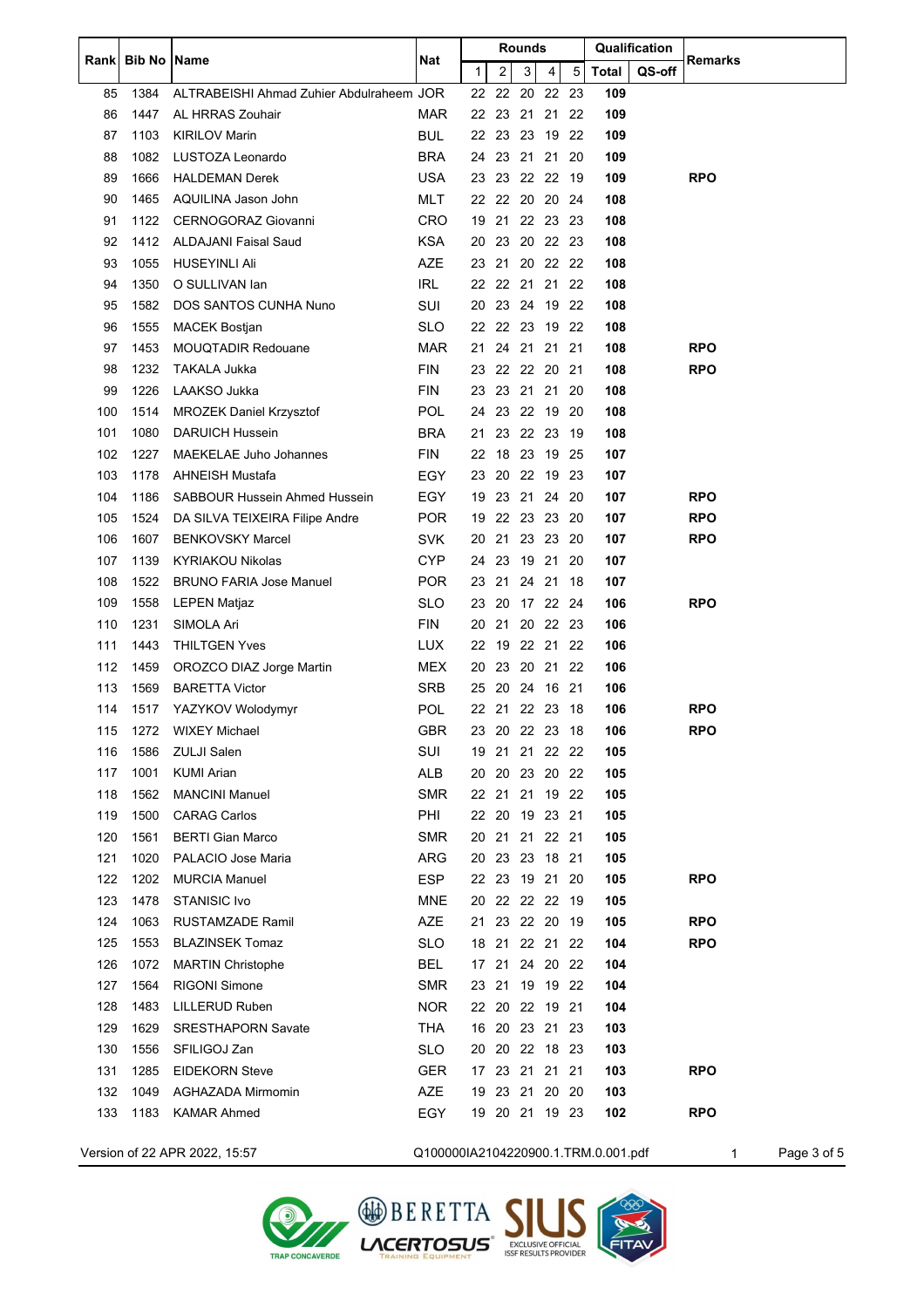|     | Rank Bib No Name |                                          | <b>Nat</b> | Rounds |                |       |             |     | Qualification                       |        | <b>Remarks</b> |             |
|-----|------------------|------------------------------------------|------------|--------|----------------|-------|-------------|-----|-------------------------------------|--------|----------------|-------------|
|     |                  |                                          |            | 1      | 2              | 3     | 4           | 5   | <b>Total</b>                        | QS-off |                |             |
| 85  | 1384             | ALTRABEISHI Ahmad Zuhier Abdulraheem JOR |            | 22     | 22             |       | 20 22       | -23 | 109                                 |        |                |             |
| 86  | 1447             | AL HRRAS Zouhair                         | MAR        |        | 22 23 21 21 22 |       |             |     | 109                                 |        |                |             |
| 87  | 1103             | <b>KIRILOV Marin</b>                     | <b>BUL</b> |        | 22 23 23 19 22 |       |             |     | 109                                 |        |                |             |
| 88  | 1082             | LUSTOZA Leonardo                         | <b>BRA</b> | 24     |                |       | 23 21 21 20 |     | 109                                 |        |                |             |
| 89  | 1666             | <b>HALDEMAN Derek</b>                    | <b>USA</b> | 23     | 23             |       | 22 22 19    |     | 109                                 |        | <b>RPO</b>     |             |
| 90  | 1465             | AQUILINA Jason John                      | <b>MLT</b> |        | 22 22 20 20 24 |       |             |     | 108                                 |        |                |             |
| 91  | 1122             | <b>CERNOGORAZ Giovanni</b>               | <b>CRO</b> | 19     |                |       | 21 22 23 23 |     | 108                                 |        |                |             |
| 92  | 1412             | <b>ALDAJANI Faisal Saud</b>              | <b>KSA</b> | 20     | 23             |       | 20 22 23    |     | 108                                 |        |                |             |
| 93  | 1055             | HUSEYINLI Ali                            | <b>AZE</b> | 23     | 21             |       | 20 22 22    |     | 108                                 |        |                |             |
| 94  | 1350             | O SULLIVAN lan                           | <b>IRL</b> |        | 22 22 21 21 22 |       |             |     | 108                                 |        |                |             |
| 95  | 1582             | DOS SANTOS CUNHA Nuno                    | SUI        | 20     |                |       | 23 24 19 22 |     | 108                                 |        |                |             |
| 96  | 1555             | <b>MACEK Bostjan</b>                     | SLO        | 22     |                |       | 22 23 19 22 |     | 108                                 |        |                |             |
|     | 1453             | <b>MOUQTADIR Redouane</b>                | MAR        | 21     |                | 24 21 | 21 21       |     | 108                                 |        | <b>RPO</b>     |             |
| 97  |                  |                                          |            |        | 23 22 22 20 21 |       |             |     |                                     |        | <b>RPO</b>     |             |
| 98  | 1232             | TAKALA Jukka                             | <b>FIN</b> |        |                |       |             |     | 108                                 |        |                |             |
| 99  | 1226             | LAAKSO Jukka                             | <b>FIN</b> | 23     |                |       | 23 21 21    | -20 | 108                                 |        |                |             |
| 100 | 1514             | <b>MROZEK Daniel Krzysztof</b>           | <b>POL</b> | 24     | 23             |       | 22 19 20    |     | 108                                 |        |                |             |
| 101 | 1080             | <b>DARUICH Hussein</b>                   | <b>BRA</b> | 21     | 23             |       | 22 23       | -19 | 108                                 |        |                |             |
| 102 | 1227             | MAEKELAE Juho Johannes                   | <b>FIN</b> | 22     |                |       | 18 23 19 25 |     | 107                                 |        |                |             |
| 103 | 1178             | <b>AHNEISH Mustafa</b>                   | <b>EGY</b> | 23     | 20             |       | 22 19 23    |     | 107                                 |        |                |             |
| 104 | 1186             | <b>SABBOUR Hussein Ahmed Hussein</b>     | EGY.       | 19     |                |       | 23 21 24 20 |     | 107                                 |        | <b>RPO</b>     |             |
| 105 | 1524             | DA SILVA TEIXEIRA Filipe Andre           | <b>POR</b> | 19     |                |       | 22 23 23 20 |     | 107                                 |        | <b>RPO</b>     |             |
| 106 | 1607             | <b>BENKOVSKY Marcel</b>                  | <b>SVK</b> | 20     | 21             |       | 23 23 20    |     | 107                                 |        | <b>RPO</b>     |             |
| 107 | 1139             | <b>KYRIAKOU Nikolas</b>                  | <b>CYP</b> | 24     | 23             |       | 19 21       | -20 | 107                                 |        |                |             |
| 108 | 1522             | <b>BRUNO FARIA Jose Manuel</b>           | <b>POR</b> | 23     | 21             | 24 21 |             | -18 | 107                                 |        |                |             |
| 109 | 1558             | <b>LEPEN Matjaz</b>                      | <b>SLO</b> | 23     | 20             |       | 17 22 24    |     | 106                                 |        | <b>RPO</b>     |             |
| 110 | 1231             | SIMOLA Ari                               | <b>FIN</b> | 20     | 21             |       | 20 22 23    |     | 106                                 |        |                |             |
| 111 | 1443             | <b>THILTGEN Yves</b>                     | <b>LUX</b> | 22     | 19             |       | 22 21 22    |     | 106                                 |        |                |             |
| 112 | 1459             | OROZCO DIAZ Jorge Martin                 | <b>MEX</b> | 20     |                |       | 23 20 21 22 |     | 106                                 |        |                |             |
| 113 | 1569             | <b>BARETTA Victor</b>                    | <b>SRB</b> | 25     |                |       | 20 24 16 21 |     | 106                                 |        |                |             |
| 114 | 1517             | YAZYKOV Wolodymyr                        | <b>POL</b> |        | 22 21          |       | 22 23       | -18 | 106                                 |        | <b>RPO</b>     |             |
| 115 | 1272             | <b>WIXEY Michael</b>                     | GBR        |        | 23 20 22 23 18 |       |             |     | 106                                 |        | <b>RPO</b>     |             |
| 116 | 1586             | <b>ZULJI Salen</b>                       | <b>SUI</b> |        | 19 21 21 22 22 |       |             |     | 105                                 |        |                |             |
| 117 | 1001             | <b>KUMI Arian</b>                        | ALB        |        | 20 20 23 20 22 |       |             |     | 105                                 |        |                |             |
| 118 | 1562             | <b>MANCINI Manuel</b>                    | <b>SMR</b> |        | 22 21 21 19 22 |       |             |     | 105                                 |        |                |             |
| 119 | 1500             | <b>CARAG Carlos</b>                      | PHI        |        | 22 20 19 23 21 |       |             |     | 105                                 |        |                |             |
| 120 | 1561             | <b>BERTI Gian Marco</b>                  | <b>SMR</b> |        | 20 21 21 22 21 |       |             |     | 105                                 |        |                |             |
| 121 | 1020             | PALACIO Jose Maria                       | <b>ARG</b> |        | 20 23          |       | 23 18 21    |     | 105                                 |        |                |             |
| 122 | 1202             | <b>MURCIA Manuel</b>                     | ESP        |        | 22 23 19 21 20 |       |             |     | 105                                 |        | <b>RPO</b>     |             |
| 123 | 1478             | <b>STANISIC Ivo</b>                      | <b>MNE</b> |        | 20 22 22 22 19 |       |             |     | 105                                 |        |                |             |
| 124 | 1063             | <b>RUSTAMZADE Ramil</b>                  | <b>AZE</b> | 21     |                |       | 23 22 20 19 |     | 105                                 |        | <b>RPO</b>     |             |
| 125 | 1553             | <b>BLAZINSEK Tomaz</b>                   | <b>SLO</b> |        | 18 21 22 21 22 |       |             |     | 104                                 |        | <b>RPO</b>     |             |
| 126 | 1072             | <b>MARTIN Christophe</b>                 | BEL        |        | 17 21          |       | 24 20 22    |     | 104                                 |        |                |             |
| 127 | 1564             | <b>RIGONI Simone</b>                     | <b>SMR</b> |        | 23 21          |       | 19 19 22    |     | 104                                 |        |                |             |
| 128 | 1483             | LILLERUD Ruben                           | <b>NOR</b> |        | 22 20 22 19 21 |       |             |     | 104                                 |        |                |             |
| 129 | 1629             | <b>SRESTHAPORN Savate</b>                | THA        |        | 16 20 23 21 23 |       |             |     | 103                                 |        |                |             |
| 130 | 1556             | SFILIGOJ Zan                             | <b>SLO</b> |        | 20 20 22 18 23 |       |             |     | 103                                 |        |                |             |
| 131 | 1285             | <b>EIDEKORN Steve</b>                    | <b>GER</b> | 17     |                |       | 23 21 21 21 |     | 103                                 |        | <b>RPO</b>     |             |
| 132 | 1049             | AGHAZADA Mirmomin                        | AZE        |        | 19 23 21 20 20 |       |             |     | 103                                 |        |                |             |
| 133 | 1183             | <b>KAMAR Ahmed</b>                       | EGY        |        | 19 20 21 19 23 |       |             |     | 102                                 |        | <b>RPO</b>     |             |
|     |                  |                                          |            |        |                |       |             |     |                                     |        |                |             |
|     |                  | Version of 22 APR 2022, 15:57            |            |        |                |       |             |     | Q100000IA2104220900.1.TRM.0.001.pdf |        | 1              | Page 3 of 5 |

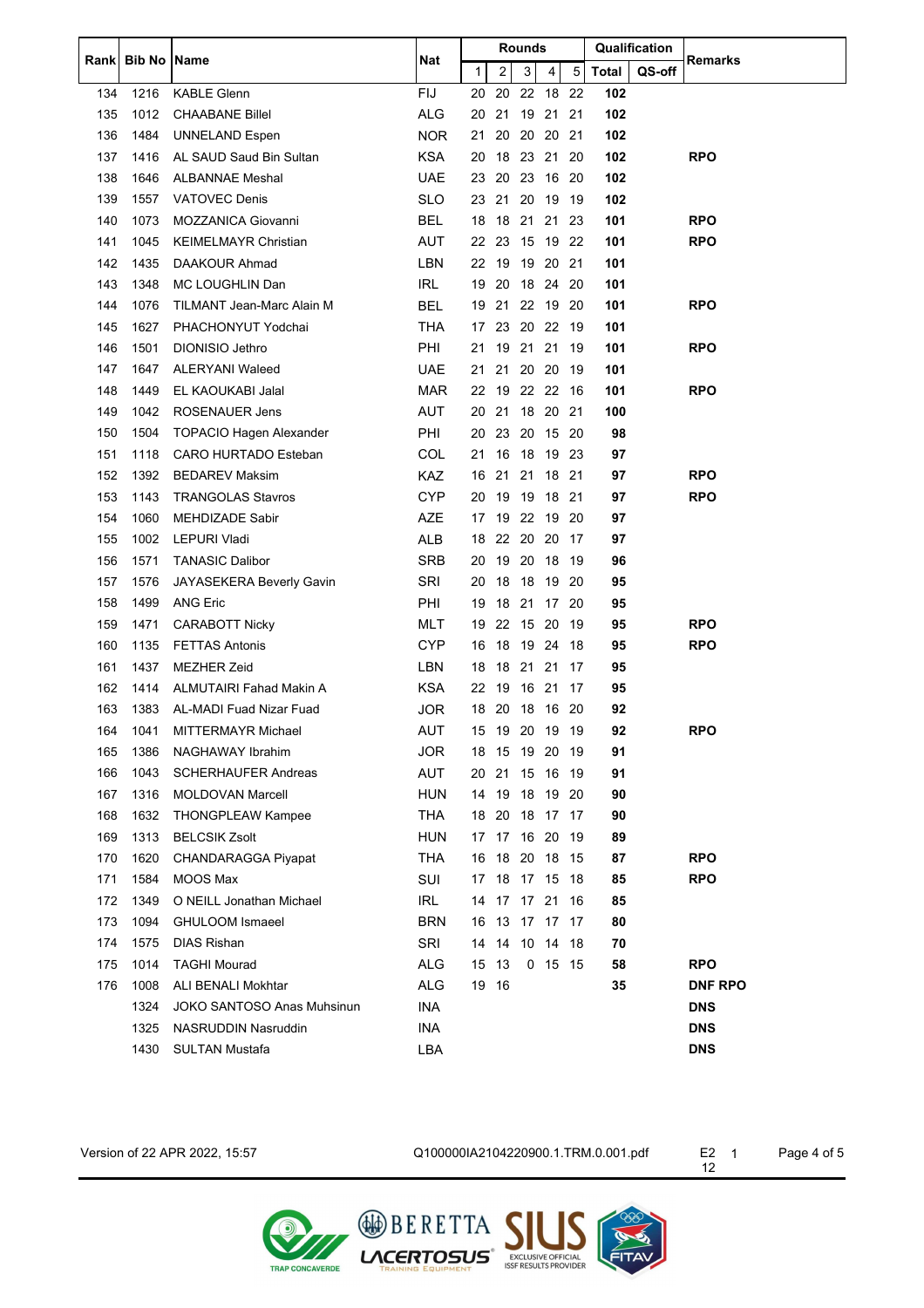|       | <b>Bib No</b> | <b>Name</b>                       | Nat        |              |       |    | Rounds   |                |      |       | Qualification | Remarks        |
|-------|---------------|-----------------------------------|------------|--------------|-------|----|----------|----------------|------|-------|---------------|----------------|
| Rankl |               |                                   |            | $\mathbf{1}$ |       | 2  | 3        | 4              | 5    | Total | QS-off        |                |
| 134   | 1216          | <b>KABLE Glenn</b>                | <b>FIJ</b> | 20           |       | 20 | 22       | 18             | 22   | 102   |               |                |
| 135   | 1012          | <b>CHAABANE Billel</b>            | <b>ALG</b> | 20           |       | 21 | 19       | 21             | 21   | 102   |               |                |
| 136   | 1484          | <b>UNNELAND Espen</b>             | <b>NOR</b> | 21           |       | 20 | 20       | 20             | 21   | 102   |               |                |
| 137   | 1416          | AL SAUD Saud Bin Sultan           | <b>KSA</b> | 20           |       | 18 | 23       | -21            | 20   | 102   |               | <b>RPO</b>     |
| 138   | 1646          | <b>ALBANNAE Meshal</b>            | <b>UAE</b> | 23           |       | 20 |          | 23 16 20       |      | 102   |               |                |
| 139   | 1557          | <b>VATOVEC Denis</b>              | <b>SLO</b> | 23           |       | 21 |          | 20 19 19       |      | 102   |               |                |
| 140   | 1073          | <b>MOZZANICA Giovanni</b>         | <b>BEL</b> | 18           |       | 18 | 21       | 21             | 23   | 101   |               | <b>RPO</b>     |
| 141   | 1045          | <b>KEIMELMAYR Christian</b>       | AUT        | 22 23        |       |    | 15       | 19             | 22   | 101   |               | <b>RPO</b>     |
| 142   | 1435          | DAAKOUR Ahmad                     | LBN        | 22           |       | 19 |          | 19 20 21       |      | 101   |               |                |
| 143   | 1348          | MC LOUGHLIN Dan                   | <b>IRL</b> | 19           |       | 20 |          | 18 24 20       |      | 101   |               |                |
| 144   | 1076          | TILMANT Jean-Marc Alain M         | <b>BEL</b> | 19           |       | 21 |          | 22 19          | -20  | 101   |               | <b>RPO</b>     |
| 145   | 1627          | PHACHONYUT Yodchai                | <b>THA</b> | 17           |       | 23 |          | 20 22 19       |      | 101   |               |                |
| 146   | 1501          | DIONISIO Jethro                   | PHI        | 21           |       |    | 19 21 21 |                | - 19 | 101   |               | <b>RPO</b>     |
| 147   | 1647          | <b>ALERYANI Waleed</b>            | <b>UAE</b> | 21           |       | 21 | 20 20    |                | 19   | 101   |               |                |
| 148   | 1449          | EL KAOUKABI Jalal                 | <b>MAR</b> | 22           |       | 19 |          | 22 22 16       |      | 101   |               | <b>RPO</b>     |
| 149   | 1042          | <b>ROSENAUER Jens</b>             | AUT        | 20           |       | 21 |          | 18 20 21       |      | 100   |               |                |
| 150   | 1504          | <b>TOPACIO Hagen Alexander</b>    | PHI        | 20           |       |    | 23 20    | 15 20          |      | 98    |               |                |
| 151   | 1118          | CARO HURTADO Esteban              | COL        | 21           |       | 16 | 18       | 19             | -23  | 97    |               |                |
| 152   | 1392          | <b>BEDAREV Maksim</b>             | <b>KAZ</b> | 16           |       | 21 | 21       | 18             | 21   | 97    |               | <b>RPO</b>     |
| 153   | 1143          | <b>TRANGOLAS Stavros</b>          | <b>CYP</b> | 20           |       | 19 |          | 19 18 21       |      | 97    |               | <b>RPO</b>     |
| 154   | 1060          | <b>MEHDIZADE Sabir</b>            | AZE        | 17           |       | 19 | 22       | 19             | 20   | 97    |               |                |
| 155   | 1002          | LEPURI Vladi                      | <b>ALB</b> | 18           |       |    | 22 20    | -20            | 17   | 97    |               |                |
| 156   | 1571          | <b>TANASIC Dalibor</b>            | <b>SRB</b> | 20           |       | 19 | 20       | 18             | 19   | 96    |               |                |
| 157   | 1576          | JAYASEKERA Beverly Gavin          | SRI        | 20           |       | 18 | 18       | 19             | -20  | 95    |               |                |
| 158   | 1499          | <b>ANG Eric</b>                   | PHI        | 19           |       | 18 | 21       | 17             | -20  | 95    |               |                |
| 159   | 1471          | <b>CARABOTT Nicky</b>             | MLT        | 19           |       | 22 | 15       | -20            | -19  | 95    |               | <b>RPO</b>     |
| 160   | 1135          | <b>FETTAS Antonis</b>             | <b>CYP</b> | 16           |       | 18 | 19 24    |                | 18   | 95    |               | <b>RPO</b>     |
| 161   | 1437          | <b>MEZHER Zeid</b>                | LBN        | 18           |       | 18 | 21 21    |                | 17   | 95    |               |                |
| 162   | 1414          | ALMUTAIRI Fahad Makin A           | <b>KSA</b> | 22           |       | 19 | 16 21    |                | 17   | 95    |               |                |
| 163   | 1383          | AL-MADI Fuad Nizar Fuad           | <b>JOR</b> | 18 20        |       |    |          | 18 16 20       |      | 92    |               |                |
| 164   | 1041          | MITTERMAYR Michael                | AUT        |              |       |    |          | 15 19 20 19 19 |      | 92    |               | <b>RPO</b>     |
| 165   | 1386          | NAGHAWAY Ibrahim                  | JOR        |              |       |    |          |                |      | 91    |               |                |
| 166   | 1043          | <b>SCHERHAUFER Andreas</b>        | AUT        | 20           |       | 21 | 15       | - 16           | -19  | 91    |               |                |
| 167   | 1316          | <b>MOLDOVAN Marcell</b>           | <b>HUN</b> |              |       |    |          | 14 19 18 19 20 |      | 90    |               |                |
| 168   | 1632          | THONGPLEAW Kampee                 | <b>THA</b> |              | 18 20 |    |          | 18 17 17       |      | 90    |               |                |
| 169   | 1313          | <b>BELCSIK Zsolt</b>              | HUN        |              |       |    |          | 17 17 16 20 19 |      | 89    |               |                |
| 170   | 1620          | CHANDARAGGA Piyapat               | <b>THA</b> | 16           |       | 18 | 20 18    |                | - 15 | 87    |               | <b>RPO</b>     |
| 171   | 1584          | MOOS Max                          | SUI        |              |       |    |          | 17 18 17 15 18 |      | 85    |               | <b>RPO</b>     |
| 172   | 1349          | O NEILL Jonathan Michael          | <b>IRL</b> | 14           |       |    |          |                | 16   | 85    |               |                |
| 173   | 1094          | GHULOOM Ismaeel                   | <b>BRN</b> | 16           |       | 13 |          | 17 17 17       |      | 80    |               |                |
| 174   | 1575          | <b>DIAS Rishan</b>                | SRI        | 14           |       |    |          | 14 10 14 18    |      | 70    |               |                |
| 175   | 1014          | <b>TAGHI Mourad</b>               | <b>ALG</b> | 15           | 13    |    |          | $0$ 15 15      |      | 58    |               | <b>RPO</b>     |
| 176   | 1008          | ALI BENALI Mokhtar                | <b>ALG</b> |              | 19 16 |    |          |                |      | 35    |               | <b>DNF RPO</b> |
|       | 1324          | <b>JOKO SANTOSO Anas Muhsinun</b> | INA        |              |       |    |          |                |      |       |               | <b>DNS</b>     |
|       | 1325          | NASRUDDIN Nasruddin               | INA        |              |       |    |          |                |      |       |               | <b>DNS</b>     |
|       | 1430          | <b>SULTAN Mustafa</b>             | LBA        |              |       |    |          |                |      |       |               | <b>DNS</b>     |

Version of 22 APR 2022, 15:57 Q100000IA2104220900.1.TRM.0.001.pdf

Page 4 of 5